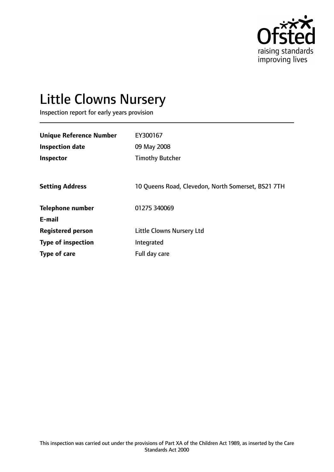

# Little Clowns Nursery

Inspection report for early years provision

| <b>Unique Reference Number</b> | EY300167                                           |
|--------------------------------|----------------------------------------------------|
| <b>Inspection date</b>         | 09 May 2008                                        |
| Inspector                      | <b>Timothy Butcher</b>                             |
|                                |                                                    |
| <b>Setting Address</b>         | 10 Queens Road, Clevedon, North Somerset, BS21 7TH |
| <b>Telephone number</b>        | 01275 340069                                       |
| E-mail                         |                                                    |
| <b>Registered person</b>       | <b>Little Clowns Nursery Ltd</b>                   |
| <b>Type of inspection</b>      | Integrated                                         |
| Type of care                   | Full day care                                      |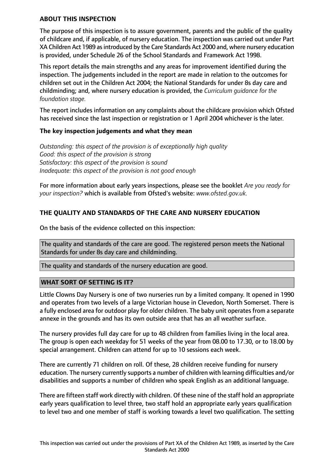#### **ABOUT THIS INSPECTION**

The purpose of this inspection is to assure government, parents and the public of the quality of childcare and, if applicable, of nursery education. The inspection was carried out under Part XA Children Act 1989 asintroduced by the Care Standards Act 2000 and, where nursery education is provided, under Schedule 26 of the School Standards and Framework Act 1998.

This report details the main strengths and any areas for improvement identified during the inspection. The judgements included in the report are made in relation to the outcomes for children set out in the Children Act 2004; the National Standards for under 8s day care and childminding; and, where nursery education is provided, the *Curriculum guidance for the foundation stage.*

The report includes information on any complaints about the childcare provision which Ofsted has received since the last inspection or registration or 1 April 2004 whichever is the later.

## **The key inspection judgements and what they mean**

*Outstanding: this aspect of the provision is of exceptionally high quality Good: this aspect of the provision is strong Satisfactory: this aspect of the provision is sound Inadequate: this aspect of the provision is not good enough*

For more information about early years inspections, please see the booklet *Are you ready for your inspection?* which is available from Ofsted's website: *www.ofsted.gov.uk.*

# **THE QUALITY AND STANDARDS OF THE CARE AND NURSERY EDUCATION**

On the basis of the evidence collected on this inspection:

The quality and standards of the care are good. The registered person meets the National Standards for under 8s day care and childminding.

The quality and standards of the nursery education are good.

## **WHAT SORT OF SETTING IS IT?**

Little Clowns Day Nursery is one of two nurseries run by a limited company. It opened in 1990 and operates from two levels of a large Victorian house in Clevedon, North Somerset. There is a fully enclosed area for outdoor play for older children. The baby unit operates from a separate annexe in the grounds and has its own outside area that has an all weather surface.

The nursery provides full day care for up to 48 children from families living in the local area. The group is open each weekday for 51 weeks of the year from 08.00 to 17.30, or to 18.00 by special arrangement. Children can attend for up to 10 sessions each week.

There are currently 71 children on roll. Of these, 28 children receive funding for nursery education. The nursery currently supports a number of children with learning difficulties and/or disabilities and supports a number of children who speak English as an additional language.

There are fifteen staff work directly with children. Of these nine of the staff hold an appropriate early years qualification to level three, two staff hold an appropriate early years qualification to level two and one member of staff is working towards a level two qualification. The setting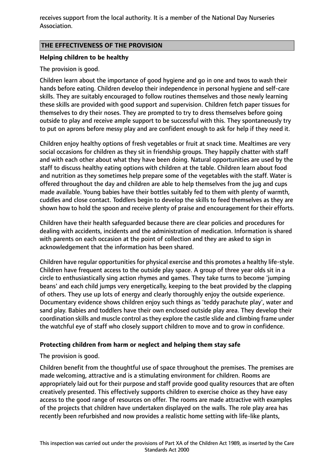receives support from the local authority. It is a member of the National Day Nurseries Association.

## **THE EFFECTIVENESS OF THE PROVISION**

## **Helping children to be healthy**

#### The provision is good.

Children learn about the importance of good hygiene and go in one and twos to wash their hands before eating. Children develop their independence in personal hygiene and self-care skills. They are suitably encouraged to follow routines themselves and those newly learning these skills are provided with good support and supervision. Children fetch paper tissues for themselves to dry their noses. They are prompted to try to dress themselves before going outside to play and receive ample support to be successful with this. They spontaneously try to put on aprons before messy play and are confident enough to ask for help if they need it.

Children enjoy healthy options of fresh vegetables or fruit at snack time. Mealtimes are very social occasions for children as they sit in friendship groups. They happily chatter with staff and with each other about what they have been doing. Natural opportunities are used by the staff to discuss healthy eating options with children at the table. Children learn about food and nutrition as they sometimes help prepare some of the vegetables with the staff. Water is offered throughout the day and children are able to help themselves from the jug and cups made available. Young babies have their bottles suitably fed to them with plenty of warmth, cuddles and close contact. Toddlers begin to develop the skills to feed themselves as they are shown how to hold the spoon and receive plenty of praise and encouragement for their efforts.

Children have their health safeguarded because there are clear policies and procedures for dealing with accidents, incidents and the administration of medication. Information is shared with parents on each occasion at the point of collection and they are asked to sign in acknowledgement that the information has been shared.

Children have regular opportunities for physical exercise and this promotes a healthy life-style. Children have frequent access to the outside play space. A group of three year olds sit in a circle to enthusiastically sing action rhymes and games. They take turns to become 'jumping beans' and each child jumps very energetically, keeping to the beat provided by the clapping of others. They use up lots of energy and clearly thoroughly enjoy the outside experience. Documentary evidence shows children enjoy such things as 'teddy parachute play', water and sand play. Babies and toddlers have their own enclosed outside play area. They develop their coordination skills and muscle control as they explore the castle slide and climbing frame under the watchful eye of staff who closely support children to move and to grow in confidence.

## **Protecting children from harm or neglect and helping them stay safe**

## The provision is good.

Children benefit from the thoughtful use of space throughout the premises. The premises are made welcoming, attractive and is a stimulating environment for children. Rooms are appropriately laid out for their purpose and staff provide good quality resources that are often creatively presented. This effectively supports children to exercise choice as they have easy access to the good range of resources on offer. The rooms are made attractive with examples of the projects that children have undertaken displayed on the walls. The role play area has recently been refurbished and now provides a realistic home setting with life-like plants,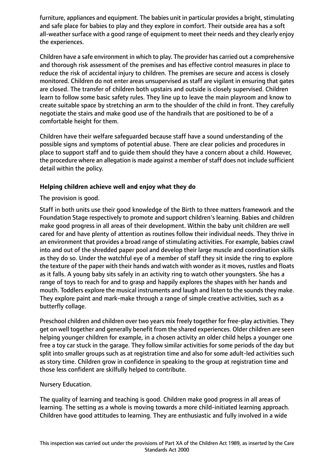furniture, appliances and equipment. The babies unit in particular provides a bright, stimulating and safe place for babies to play and they explore in comfort. Their outside area has a soft all-weather surface with a good range of equipment to meet their needs and they clearly enjoy the experiences.

Children have a safe environment in which to play. The provider has carried out a comprehensive and thorough risk assessment of the premises and has effective control measures in place to reduce the risk of accidental injury to children. The premises are secure and access is closely monitored. Children do not enter areas unsupervised as staff are vigilant in ensuring that gates are closed. The transfer of children both upstairs and outside is closely supervised. Children learn to follow some basic safety rules. They line up to leave the main playroom and know to create suitable space by stretching an arm to the shoulder of the child in front. They carefully negotiate the stairs and make good use of the handrails that are positioned to be of a comfortable height for them.

Children have their welfare safeguarded because staff have a sound understanding of the possible signs and symptoms of potential abuse. There are clear policies and procedures in place to support staff and to guide them should they have a concern about a child. However, the procedure where an allegation is made against a member of staff does not include sufficient detail within the policy.

# **Helping children achieve well and enjoy what they do**

The provision is good.

Staff in both units use their good knowledge of the Birth to three matters framework and the Foundation Stage respectively to promote and support children's learning. Babies and children make good progress in all areas of their development. Within the baby unit children are well cared for and have plenty of attention as routines follow their individual needs. They thrive in an environment that provides a broad range of stimulating activities. For example, babies crawl into and out of the shredded paper pool and develop their large muscle and coordination skills as they do so. Under the watchful eye of a member of staff they sit inside the ring to explore the texture of the paper with their hands and watch with wonder as it moves, rustles and floats as it falls. A young baby sits safely in an activity ring to watch other youngsters. She has a range of toys to reach for and to grasp and happily explores the shapes with her hands and mouth. Toddlers explore the musical instruments and laugh and listen to the sounds they make. They explore paint and mark-make through a range of simple creative activities, such as a butterfly collage.

Preschool children and children over two years mix freely together for free-play activities. They get on well together and generally benefit from the shared experiences. Older children are seen helping younger children for example, in a chosen activity an older child helps a younger one free a toy car stuck in the garage. They follow similar activities for some periods of the day but split into smaller groups such as at registration time and also for some adult-led activities such as story time. Children grow in confidence in speaking to the group at registration time and those less confident are skilfully helped to contribute.

## Nursery Education.

The quality of learning and teaching is good. Children make good progress in all areas of learning. The setting as a whole is moving towards a more child-initiated learning approach. Children have good attitudes to learning. They are enthusiastic and fully involved in a wide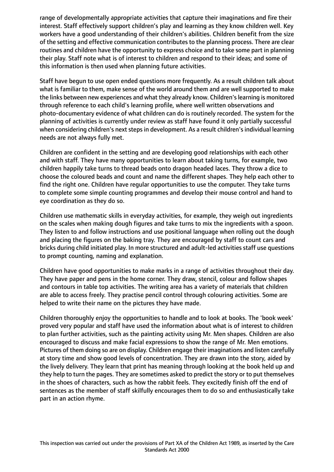range of developmentally appropriate activities that capture their imaginations and fire their interest. Staff effectively support children's play and learning as they know children well. Key workers have a good understanding of their children's abilities. Children benefit from the size of the setting and effective communication contributesto the planning process. There are clear routines and children have the opportunity to express choice and to take some part in planning their play. Staff note what is of interest to children and respond to their ideas; and some of this information is then used when planning future activities.

Staff have begun to use open ended questions more frequently. As a result children talk about what is familiar to them, make sense of the world around them and are well supported to make the links between new experiences and what they already know. Children'slearning is monitored through reference to each child's learning profile, where well written observations and photo-documentary evidence of what children can do is routinely recorded. The system for the planning of activities is currently under review as staff have found it only partially successful when considering children's next steps in development. As a result children's individual learning needs are not always fully met.

Children are confident in the setting and are developing good relationships with each other and with staff. They have many opportunities to learn about taking turns, for example, two children happily take turns to thread beads onto dragon headed laces. They throw a dice to choose the coloured beads and count and name the different shapes. They help each other to find the right one. Children have regular opportunities to use the computer. They take turns to complete some simple counting programmes and develop their mouse control and hand to eye coordination as they do so.

Children use mathematic skills in everyday activities, for example, they weigh out ingredients on the scales when making dough figures and take turns to mix the ingredients with a spoon. They listen to and follow instructions and use positional language when rolling out the dough and placing the figures on the baking tray. They are encouraged by staff to count cars and bricks during child initiated play. In more structured and adult-led activities staff use questions to prompt counting, naming and explanation.

Children have good opportunities to make marks in a range of activities throughout their day. They have paper and pens in the home corner. They draw, stencil, colour and follow shapes and contours in table top activities. The writing area has a variety of materials that children are able to access freely. They practise pencil control through colouring activities. Some are helped to write their name on the pictures they have made.

Children thoroughly enjoy the opportunities to handle and to look at books. The 'book week' proved very popular and staff have used the information about what is of interest to children to plan further activities, such as the painting activity using Mr. Men shapes. Children are also encouraged to discuss and make facial expressions to show the range of Mr. Men emotions. Pictures of them doing so are on display. Children engage their imaginations and listen carefully at story time and show good levels of concentration. They are drawn into the story, aided by the lively delivery. They learn that print has meaning through looking at the book held up and they help to turn the pages. They are sometimes asked to predict the story or to put themselves in the shoes of characters, such as how the rabbit feels. They excitedly finish off the end of sentences as the member of staff skilfully encourages them to do so and enthusiastically take part in an action rhyme.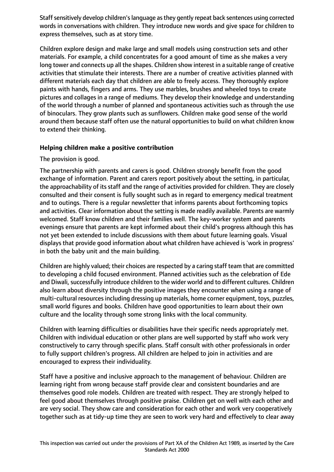Staff sensitively develop children's language as they gently repeat back sentences using corrected words in conversations with children. They introduce new words and give space for children to express themselves, such as at story time.

Children explore design and make large and small models using construction sets and other materials. For example, a child concentrates for a good amount of time as she makes a very long tower and connects up all the shapes. Children show interest in a suitable range of creative activities that stimulate their interests. There are a number of creative activities planned with different materials each day that children are able to freely access. They thoroughly explore paints with hands, fingers and arms. They use marbles, brushes and wheeled toys to create pictures and collages in a range of mediums. They develop their knowledge and understanding of the world through a number of planned and spontaneous activities such as through the use of binoculars. They grow plants such as sunflowers. Children make good sense of the world around them because staff often use the natural opportunities to build on what children know to extend their thinking.

# **Helping children make a positive contribution**

The provision is good.

The partnership with parents and carers is good. Children strongly benefit from the good exchange of information. Parent and carers report positively about the setting, in particular, the approachability of its staff and the range of activities provided for children. They are closely consulted and their consent is fully sought such as in regard to emergency medical treatment and to outings. There is a regular newsletter that informs parents about forthcoming topics and activities. Clear information about the setting is made readily available. Parents are warmly welcomed. Staff know children and their families well. The key-worker system and parents evenings ensure that parents are kept informed about their child's progress although this has not yet been extended to include discussions with them about future learning goals. Visual displays that provide good information about what children have achieved is 'work in progress' in both the baby unit and the main building.

Children are highly valued; their choices are respected by a caring staff team that are committed to developing a child focused environment. Planned activities such as the celebration of Ede and Diwali, successfully introduce children to the wider world and to different cultures. Children also learn about diversity through the positive images they encounter when using a range of multi-cultural resources including dressing up materials, home corner equipment, toys, puzzles, small world figures and books. Children have good opportunities to learn about their own culture and the locality through some strong links with the local community.

Children with learning difficulties or disabilities have their specific needs appropriately met. Children with individual education or other plans are well supported by staff who work very constructively to carry through specific plans. Staff consult with other professionals in order to fully support children's progress. All children are helped to join in activities and are encouraged to express their individuality.

Staff have a positive and inclusive approach to the management of behaviour. Children are learning right from wrong because staff provide clear and consistent boundaries and are themselves good role models. Children are treated with respect. They are strongly helped to feel good about themselves through positive praise. Children get on well with each other and are very social. They show care and consideration for each other and work very cooperatively together such as at tidy-up time they are seen to work very hard and effectively to clear away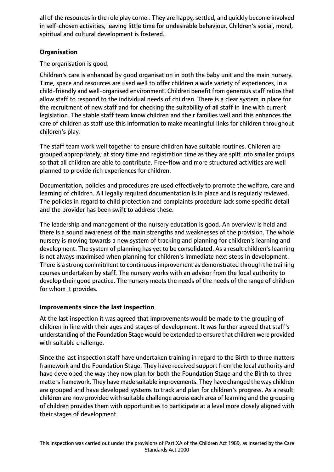all of the resources in the role play corner. They are happy, settled, and quickly become involved in self-chosen activities, leaving little time for undesirable behaviour. Children's social, moral, spiritual and cultural development is fostered.

# **Organisation**

The organisation is good.

Children's care is enhanced by good organisation in both the baby unit and the main nursery. Time, space and resources are used well to offer children a wide variety of experiences, in a child-friendly and well-organised environment. Children benefit from generous staff ratios that allow staff to respond to the individual needs of children. There is a clear system in place for the recruitment of new staff and for checking the suitability of all staff in line with current legislation. The stable staff team know children and their families well and this enhances the care of children as staff use this information to make meaningful links for children throughout children's play.

The staff team work well together to ensure children have suitable routines. Children are grouped appropriately; at story time and registration time as they are split into smaller groups so that all children are able to contribute. Free-flow and more structured activities are well planned to provide rich experiences for children.

Documentation, policies and procedures are used effectively to promote the welfare, care and learning of children. All legally required documentation is in place and is regularly reviewed. The policies in regard to child protection and complaints procedure lack some specific detail and the provider has been swift to address these.

The leadership and management of the nursery education is good. An overview is held and there is a sound awareness of the main strengths and weaknesses of the provision. The whole nursery is moving towards a new system of tracking and planning for children's learning and development. The system of planning has yet to be consolidated. As a result children's learning is not always maximised when planning for children's immediate next steps in development. There is a strong commitment to continuousimprovement as demonstrated through the training courses undertaken by staff. The nursery works with an advisor from the local authority to develop their good practice. The nursery meets the needs of the needs of the range of children for whom it provides.

# **Improvements since the last inspection**

At the last inspection it was agreed that improvements would be made to the grouping of children in line with their ages and stages of development. It was further agreed that staff's understanding of the Foundation Stage would be extended to ensure that children were provided with suitable challenge.

Since the last inspection staff have undertaken training in regard to the Birth to three matters framework and the Foundation Stage. They have received support from the local authority and have developed the way they now plan for both the Foundation Stage and the Birth to three matters framework. They have made suitable improvements. They have changed the way children are grouped and have developed systems to track and plan for children's progress. As a result children are now provided with suitable challenge across each area of learning and the grouping of children provides them with opportunities to participate at a level more closely aligned with their stages of development.